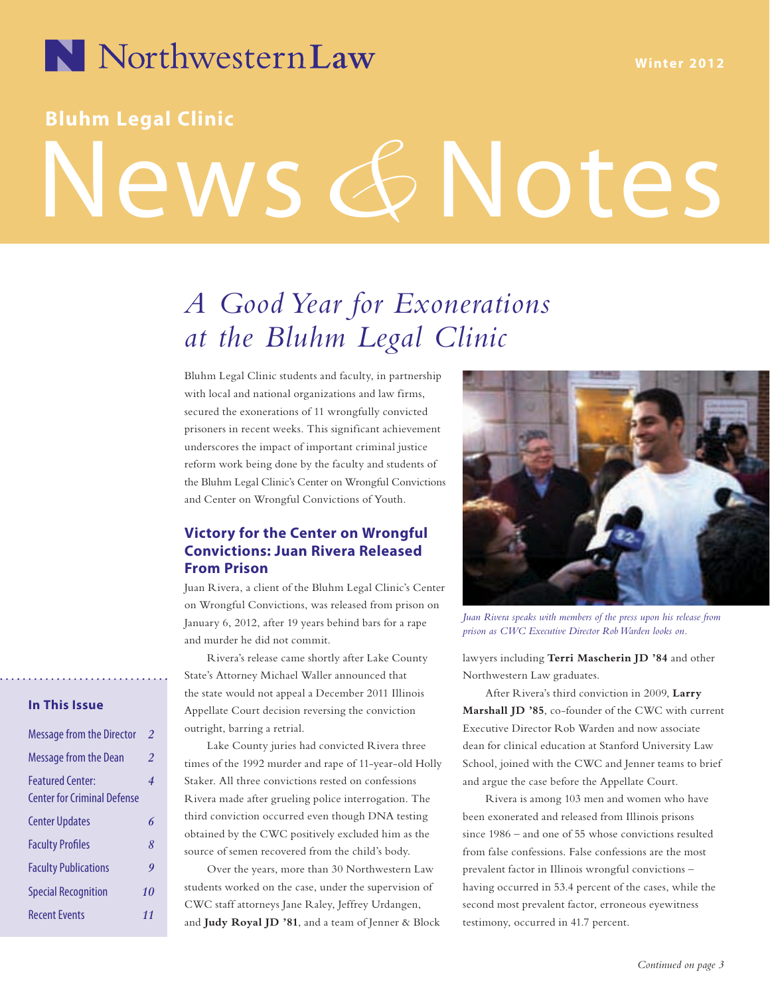

### **Bluhm Legal Clinic**

# News *&* Notes

# *A Good Year for Exonerations at the Bluhm Legal Clinic*

Bluhm Legal Clinic students and faculty, in partnership with local and national organizations and law firms, secured the exonerations of 11 wrongfully convicted prisoners in recent weeks. This significant achievement underscores the impact of important criminal justice reform work being done by the faculty and students of the Bluhm Legal Clinic's Center on Wrongful Convictions and Center on Wrongful Convictions of Youth.

#### **Victory for the Center on Wrongful Convictions: Juan Rivera Released From Prison**

Juan Rivera, a client of the Bluhm Legal Clinic's Center on Wrongful Convictions, was released from prison on January 6, 2012, after 19 years behind bars for a rape and murder he did not commit.

Rivera's release came shortly after Lake County State's Attorney Michael Waller announced that the state would not appeal a December 2011 Illinois Appellate Court decision reversing the conviction outright, barring a retrial.

Lake County juries had convicted Rivera three times of the 1992 murder and rape of 11-year-old Holly Staker. All three convictions rested on confessions Rivera made after grueling police interrogation. The third conviction occurred even though DNA testing obtained by the CWC positively excluded him as the source of semen recovered from the child's body.

Over the years, more than 30 Northwestern Law students worked on the case, under the supervision of CWC staff attorneys Jane Raley, Jeffrey Urdangen, and **Judy Royal JD '81**, and a team of Jenner & Block



*Juan Rivera speaks with members of the press upon his release from prison as CWC Executive Director Rob Warden looks on.*

lawyers including **Terri Mascherin JD '84** and other Northwestern Law graduates.

After Rivera's third conviction in 2009, **Larry Marshall JD '85**, co-founder of the CWC with current Executive Director Rob Warden and now associate dean for clinical education at Stanford University Law School, joined with the CWC and Jenner teams to brief and argue the case before the Appellate Court.

Rivera is among 103 men and women who have been exonerated and released from Illinois prisons since 1986 – and one of 55 whose convictions resulted from false confessions. False confessions are the most prevalent factor in Illinois wrongful convictions – having occurred in 53.4 percent of the cases, while the second most prevalent factor, erroneous eyewitness testimony, occurred in 41.7 percent.

#### **In This Issue**

| <b>Message from the Director</b>                              | $\overline{2}$   |
|---------------------------------------------------------------|------------------|
| <b>Message from the Dean</b>                                  | $\overline{2}$   |
| <b>Featured Center:</b><br><b>Center for Criminal Defense</b> | 4                |
| <b>Center Updates</b>                                         | 6                |
| <b>Faculty Profiles</b>                                       | 8                |
| <b>Faculty Publications</b>                                   | $\boldsymbol{q}$ |
| <b>Special Recognition</b>                                    | 10               |
| <b>Recent Events</b>                                          | 11               |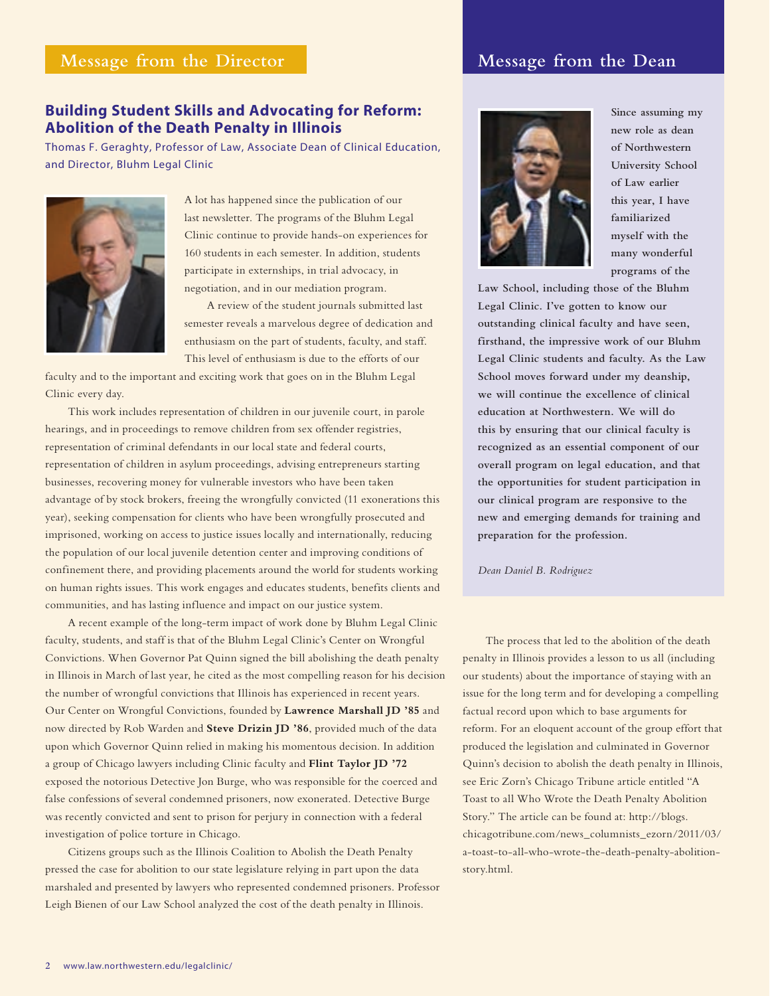#### **Message from the Director**

#### **Message from the Dean**

#### **Building Student Skills and Advocating for Reform: Abolition of the Death Penalty in Illinois**

Thomas F. Geraghty, Professor of Law, Associate Dean of Clinical Education, and Director, Bluhm Legal Clinic



A lot has happened since the publication of our last newsletter. The programs of the Bluhm Legal Clinic continue to provide hands-on experiences for 160 students in each semester. In addition, students participate in externships, in trial advocacy, in negotiation, and in our mediation program.

A review of the student journals submitted last semester reveals a marvelous degree of dedication and enthusiasm on the part of students, faculty, and staff. This level of enthusiasm is due to the efforts of our

faculty and to the important and exciting work that goes on in the Bluhm Legal Clinic every day.

This work includes representation of children in our juvenile court, in parole hearings, and in proceedings to remove children from sex offender registries, representation of criminal defendants in our local state and federal courts, representation of children in asylum proceedings, advising entrepreneurs starting businesses, recovering money for vulnerable investors who have been taken advantage of by stock brokers, freeing the wrongfully convicted (11 exonerations this year), seeking compensation for clients who have been wrongfully prosecuted and imprisoned, working on access to justice issues locally and internationally, reducing the population of our local juvenile detention center and improving conditions of confinement there, and providing placements around the world for students working on human rights issues. This work engages and educates students, benefits clients and communities, and has lasting influence and impact on our justice system.

A recent example of the long-term impact of work done by Bluhm Legal Clinic faculty, students, and staff is that of the Bluhm Legal Clinic's Center on Wrongful Convictions. When Governor Pat Quinn signed the bill abolishing the death penalty in Illinois in March of last year, he cited as the most compelling reason for his decision the number of wrongful convictions that Illinois has experienced in recent years. Our Center on Wrongful Convictions, founded by **Lawrence Marshall JD '85** and now directed by Rob Warden and **Steve Drizin JD '86**, provided much of the data upon which Governor Quinn relied in making his momentous decision. In addition a group of Chicago lawyers including Clinic faculty and **Flint Taylor JD '72** exposed the notorious Detective Jon Burge, who was responsible for the coerced and false confessions of several condemned prisoners, now exonerated. Detective Burge was recently convicted and sent to prison for perjury in connection with a federal investigation of police torture in Chicago.

Citizens groups such as the Illinois Coalition to Abolish the Death Penalty pressed the case for abolition to our state legislature relying in part upon the data marshaled and presented by lawyers who represented condemned prisoners. Professor Leigh Bienen of our Law School analyzed the cost of the death penalty in Illinois.



**Since assuming my new role as dean of Northwestern University School of Law earlier this year, I have familiarized myself with the many wonderful programs of the** 

**Law School, including those of the Bluhm Legal Clinic. I've gotten to know our outstanding clinical faculty and have seen, firsthand, the impressive work of our Bluhm Legal Clinic students and faculty. As the Law School moves forward under my deanship, we will continue the excellence of clinical education at Northwestern. We will do this by ensuring that our clinical faculty is recognized as an essential component of our overall program on legal education, and that the opportunities for student participation in our clinical program are responsive to the new and emerging demands for training and preparation for the profession.**

*Dean Daniel B. Rodriguez*

The process that led to the abolition of the death penalty in Illinois provides a lesson to us all (including our students) about the importance of staying with an issue for the long term and for developing a compelling factual record upon which to base arguments for reform. For an eloquent account of the group effort that produced the legislation and culminated in Governor Quinn's decision to abolish the death penalty in Illinois, see Eric Zorn's Chicago Tribune article entitled "A Toast to all Who Wrote the Death Penalty Abolition Story." The article can be found at: http://blogs. chicagotribune.com/news\_columnists\_ezorn/2011/03/ a-toast-to-all-who-wrote-the-death-penalty-abolitionstory.html.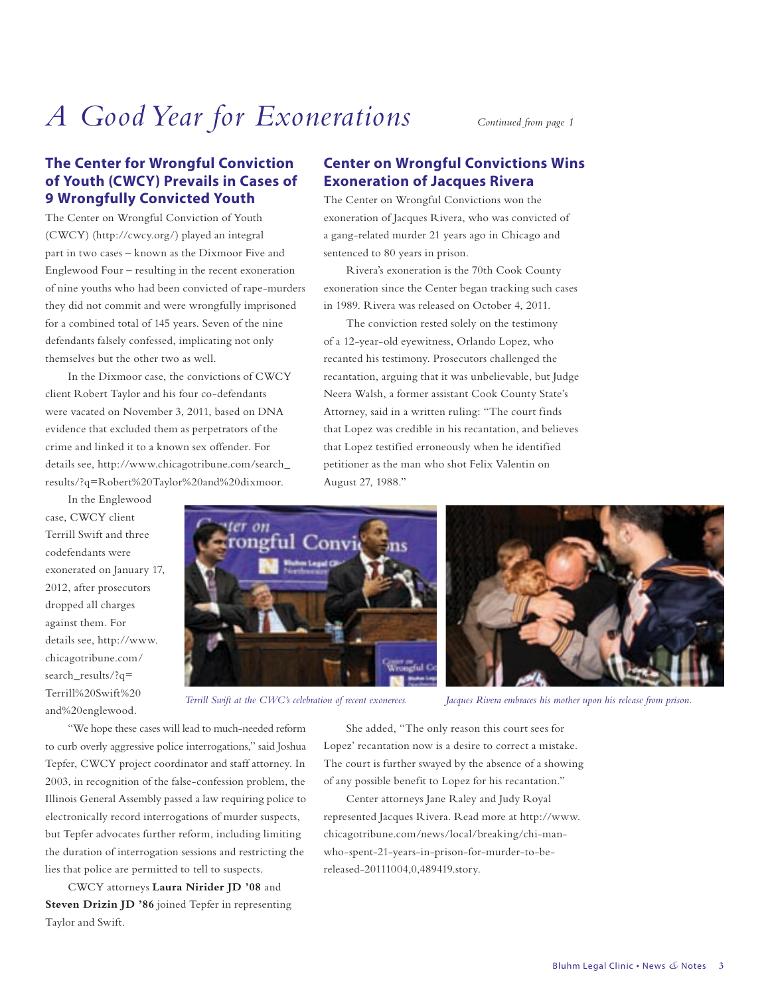# *A Good Year for Exonerations Continued from page 1*

#### **The Center for Wrongful Conviction of Youth (CWCY) Prevails in Cases of 9 Wrongfully Convicted Youth**

The Center on Wrongful Conviction of Youth (CWCY) (http://cwcy.org/) played an integral part in two cases – known as the Dixmoor Five and Englewood Four – resulting in the recent exoneration of nine youths who had been convicted of rape-murders they did not commit and were wrongfully imprisoned for a combined total of 145 years. Seven of the nine defendants falsely confessed, implicating not only themselves but the other two as well.

In the Dixmoor case, the convictions of CWCY client Robert Taylor and his four co-defendants were vacated on November 3, 2011, based on DNA evidence that excluded them as perpetrators of the crime and linked it to a known sex offender. For details see, http://www.chicagotribune.com/search\_ results/?q=Robert%20Taylor%20and%20dixmoor.

In the Englewood case, CWCY client Terrill Swift and three codefendants were exonerated on January 17, 2012, after prosecutors dropped all charges against them. For details see, http://www. chicagotribune.com/ search\_results/?q= Terrill%20Swift%20 and%20englewood.

#### **Center on Wrongful Convictions Wins Exoneration of Jacques Rivera**

The Center on Wrongful Convictions won the exoneration of Jacques Rivera, who was convicted of a gang-related murder 21 years ago in Chicago and sentenced to 80 years in prison.

Rivera's exoneration is the 70th Cook County exoneration since the Center began tracking such cases in 1989. Rivera was released on October 4, 2011.

The conviction rested solely on the testimony of a 12-year-old eyewitness, Orlando Lopez, who recanted his testimony. Prosecutors challenged the recantation, arguing that it was unbelievable, but Judge Neera Walsh, a former assistant Cook County State's Attorney, said in a written ruling: "The court finds that Lopez was credible in his recantation, and believes that Lopez testified erroneously when he identified petitioner as the man who shot Felix Valentin on August 27, 1988."





*Terrill Swift at the CWC's celebration of recent exonerees. Jacques Rivera embraces his mother upon his release from prison.*

"We hope these cases will lead to much-needed reform to curb overly aggressive police interrogations," said Joshua Tepfer, CWCY project coordinator and staff attorney. In 2003, in recognition of the false-confession problem, the Illinois General Assembly passed a law requiring police to electronically record interrogations of murder suspects, but Tepfer advocates further reform, including limiting the duration of interrogation sessions and restricting the lies that police are permitted to tell to suspects.

CWCY attorneys **Laura Nirider JD '08** and **Steven Drizin JD '86** joined Tepfer in representing Taylor and Swift.

She added, "The only reason this court sees for Lopez' recantation now is a desire to correct a mistake. The court is further swayed by the absence of a showing of any possible benefit to Lopez for his recantation."

Center attorneys Jane Raley and Judy Royal represented Jacques Rivera. Read more at http://www. chicagotribune.com/news/local/breaking/chi-manwho-spent-21-years-in-prison-for-murder-to-bereleased-20111004,0,489419.story.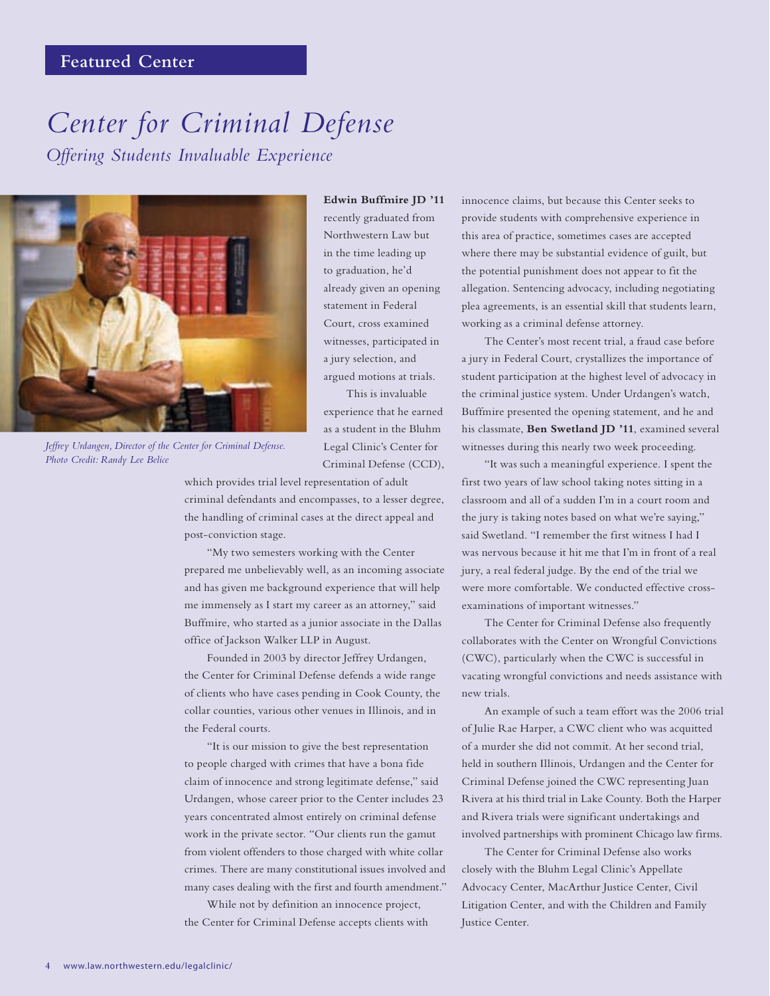#### **Featured Center**

# *Center for Criminal Defense Offering Students Invaluable Experience*



*Jeffrey Urdangen, Director of the Center for Criminal Defense. Photo Credit: Randy Lee Belice*

**Edwin Buffmire JD '11** recently graduated from Northwestern Law but in the time leading up to graduation, he'd already given an opening statement in Federal Court, cross examined witnesses, participated in a jury selection, and argued motions at trials.

This is invaluable experience that he earned as a student in the Bluhm Legal Clinic's Center for Criminal Defense (CCD),

which provides trial level representation of adult criminal defendants and encompasses, to a lesser degree, the handling of criminal cases at the direct appeal and post-conviction stage.

"My two semesters working with the Center prepared me unbelievably well, as an incoming associate and has given me background experience that will help me immensely as I start my career as an attorney," said Buffmire, who started as a junior associate in the Dallas office of Jackson Walker LLP in August.

Founded in 2003 by director Jeffrey Urdangen, the Center for Criminal Defense defends a wide range of clients who have cases pending in Cook County, the collar counties, various other venues in Illinois, and in the Federal courts.

"It is our mission to give the best representation to people charged with crimes that have a bona fide claim of innocence and strong legitimate defense," said Urdangen, whose career prior to the Center includes 23 years concentrated almost entirely on criminal defense work in the private sector. "Our clients run the gamut from violent offenders to those charged with white collar crimes. There are many constitutional issues involved and many cases dealing with the first and fourth amendment."

While not by definition an innocence project, the Center for Criminal Defense accepts clients with innocence claims, but because this Center seeks to provide students with comprehensive experience in this area of practice, sometimes cases are accepted where there may be substantial evidence of guilt, but the potential punishment does not appear to fit the allegation. Sentencing advocacy, including negotiating plea agreements, is an essential skill that students learn, working as a criminal defense attorney.

The Center's most recent trial, a fraud case before a jury in Federal Court, crystallizes the importance of student participation at the highest level of advocacy in the criminal justice system. Under Urdangen's watch, Buffmire presented the opening statement, and he and his classmate, **Ben Swetland JD '11**, examined several witnesses during this nearly two week proceeding.

"It was such a meaningful experience. I spent the first two years of law school taking notes sitting in a classroom and all of a sudden I'm in a court room and the jury is taking notes based on what we're saying," said Swetland. "I remember the first witness I had I was nervous because it hit me that I'm in front of a real jury, a real federal judge. By the end of the trial we were more comfortable. We conducted effective crossexaminations of important witnesses."

The Center for Criminal Defense also frequently collaborates with the Center on Wrongful Convictions (CWC), particularly when the CWC is successful in vacating wrongful convictions and needs assistance with new trials.

An example of such a team effort was the 2006 trial of Julie Rae Harper, a CWC client who was acquitted of a murder she did not commit. At her second trial, held in southern Illinois, Urdangen and the Center for Criminal Defense joined the CWC representing Juan Rivera at his third trial in Lake County. Both the Harper and Rivera trials were significant undertakings and involved partnerships with prominent Chicago law firms.

The Center for Criminal Defense also works closely with the Bluhm Legal Clinic's Appellate Advocacy Center, MacArthur Justice Center, Civil Litigation Center, and with the Children and Family Justice Center.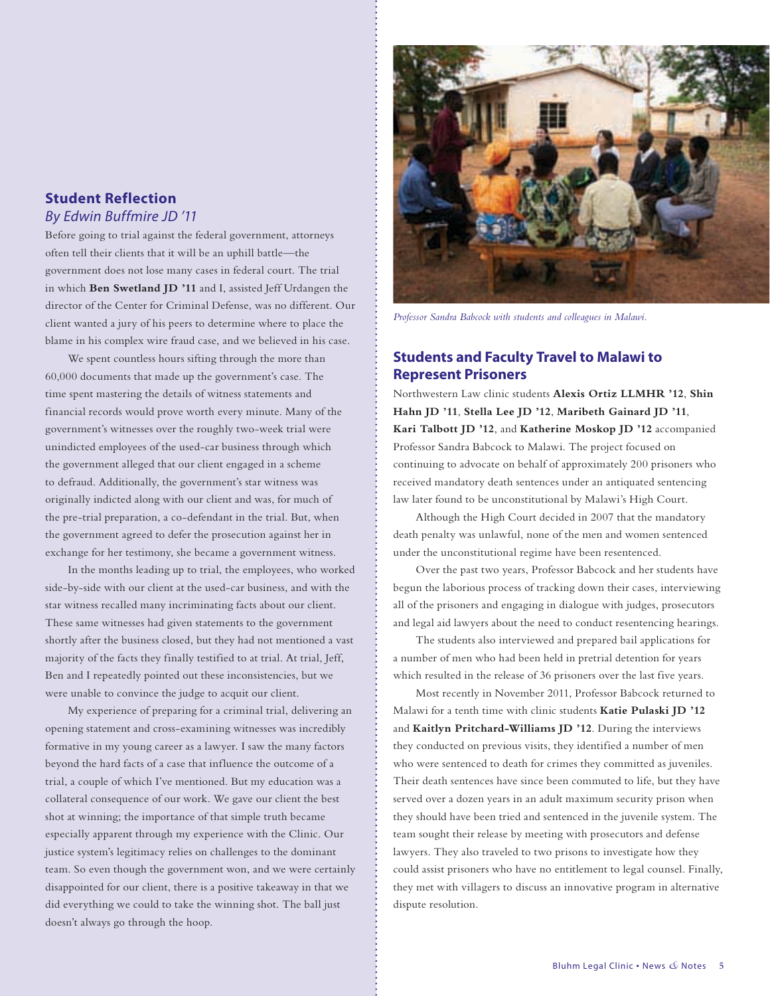#### **Student Reflection** *By Edwin Buffmire JD '11*

Before going to trial against the federal government, attorneys often tell their clients that it will be an uphill battle—the government does not lose many cases in federal court. The trial in which **Ben Swetland JD '11** and I, assisted Jeff Urdangen the director of the Center for Criminal Defense, was no different. Our client wanted a jury of his peers to determine where to place the blame in his complex wire fraud case, and we believed in his case.

We spent countless hours sifting through the more than 60,000 documents that made up the government's case. The time spent mastering the details of witness statements and financial records would prove worth every minute. Many of the government's witnesses over the roughly two-week trial were unindicted employees of the used-car business through which the government alleged that our client engaged in a scheme to defraud. Additionally, the government's star witness was originally indicted along with our client and was, for much of the pre-trial preparation, a co-defendant in the trial. But, when the government agreed to defer the prosecution against her in exchange for her testimony, she became a government witness.

In the months leading up to trial, the employees, who worked side-by-side with our client at the used-car business, and with the star witness recalled many incriminating facts about our client. These same witnesses had given statements to the government shortly after the business closed, but they had not mentioned a vast majority of the facts they finally testified to at trial. At trial, Jeff, Ben and I repeatedly pointed out these inconsistencies, but we were unable to convince the judge to acquit our client.

My experience of preparing for a criminal trial, delivering an opening statement and cross-examining witnesses was incredibly formative in my young career as a lawyer. I saw the many factors beyond the hard facts of a case that influence the outcome of a trial, a couple of which I've mentioned. But my education was a collateral consequence of our work. We gave our client the best shot at winning; the importance of that simple truth became especially apparent through my experience with the Clinic. Our justice system's legitimacy relies on challenges to the dominant team. So even though the government won, and we were certainly disappointed for our client, there is a positive takeaway in that we did everything we could to take the winning shot. The ball just doesn't always go through the hoop.



*Professor Sandra Babcock with students and colleagues in Malawi.*

#### **Students and Faculty Travel to Malawi to Represent Prisoners**

Northwestern Law clinic students **Alexis Ortiz LLMHR '12**, **Shin Hahn JD '11**, **Stella Lee JD '12**, **Maribeth Gainard JD '11**, **Kari Talbott JD '12**, and **Katherine Moskop JD '12** accompanied Professor Sandra Babcock to Malawi. The project focused on continuing to advocate on behalf of approximately 200 prisoners who received mandatory death sentences under an antiquated sentencing law later found to be unconstitutional by Malawi's High Court.

Although the High Court decided in 2007 that the mandatory death penalty was unlawful, none of the men and women sentenced under the unconstitutional regime have been resentenced.

Over the past two years, Professor Babcock and her students have begun the laborious process of tracking down their cases, interviewing all of the prisoners and engaging in dialogue with judges, prosecutors and legal aid lawyers about the need to conduct resentencing hearings.

The students also interviewed and prepared bail applications for a number of men who had been held in pretrial detention for years which resulted in the release of 36 prisoners over the last five years.

Most recently in November 2011, Professor Babcock returned to Malawi for a tenth time with clinic students **Katie Pulaski JD '12**  and **Kaitlyn Pritchard-Williams JD '12**. During the interviews they conducted on previous visits, they identified a number of men who were sentenced to death for crimes they committed as juveniles. Their death sentences have since been commuted to life, but they have served over a dozen years in an adult maximum security prison when they should have been tried and sentenced in the juvenile system. The team sought their release by meeting with prosecutors and defense lawyers. They also traveled to two prisons to investigate how they could assist prisoners who have no entitlement to legal counsel. Finally, they met with villagers to discuss an innovative program in alternative dispute resolution.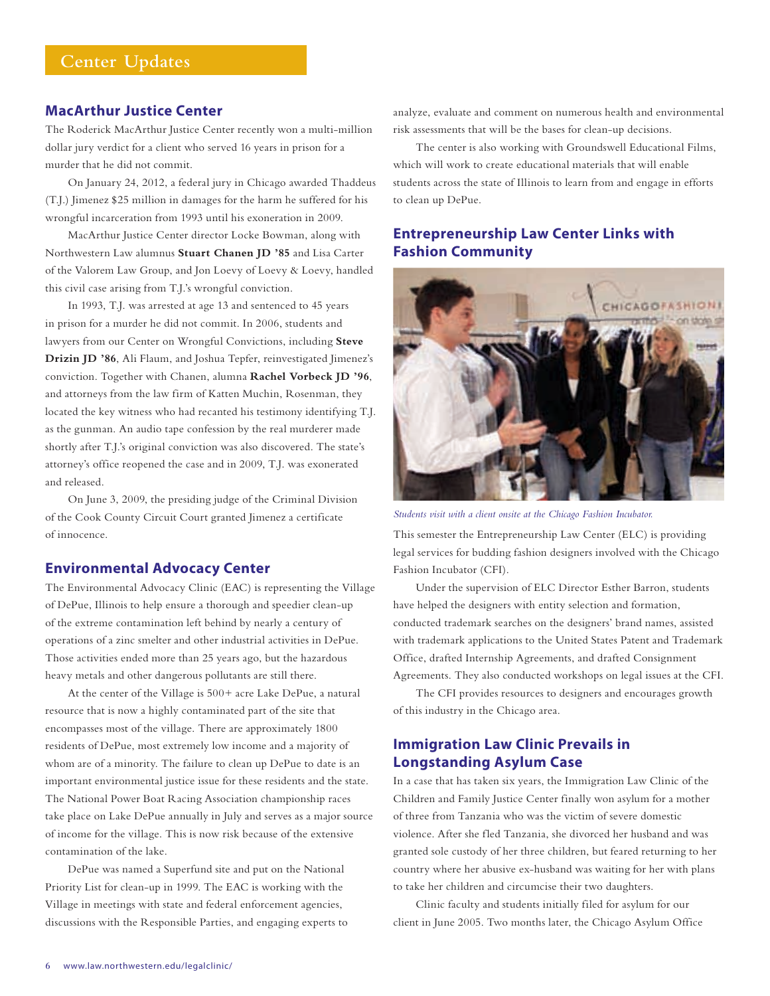#### **MacArthur Justice Center**

The Roderick MacArthur Justice Center recently won a multi-million dollar jury verdict for a client who served 16 years in prison for a murder that he did not commit.

On January 24, 2012, a federal jury in Chicago awarded Thaddeus (T.J.) Jimenez \$25 million in damages for the harm he suffered for his wrongful incarceration from 1993 until his exoneration in 2009.

MacArthur Justice Center director Locke Bowman, along with Northwestern Law alumnus **Stuart Chanen JD '85** and Lisa Carter of the Valorem Law Group, and Jon Loevy of Loevy & Loevy, handled this civil case arising from T.J.'s wrongful conviction.

In 1993, T.J. was arrested at age 13 and sentenced to 45 years in prison for a murder he did not commit. In 2006, students and lawyers from our Center on Wrongful Convictions, including **Steve Drizin JD '86**, Ali Flaum, and Joshua Tepfer, reinvestigated Jimenez's conviction. Together with Chanen, alumna **Rachel Vorbeck JD '96**, and attorneys from the law firm of Katten Muchin, Rosenman, they located the key witness who had recanted his testimony identifying T.J. as the gunman. An audio tape confession by the real murderer made shortly after T.J.'s original conviction was also discovered. The state's attorney's office reopened the case and in 2009, T.J. was exonerated and released.

On June 3, 2009, the presiding judge of the Criminal Division of the Cook County Circuit Court granted Jimenez a certificate of innocence.

#### **Environmental Advocacy Center**

The Environmental Advocacy Clinic (EAC) is representing the Village of DePue, Illinois to help ensure a thorough and speedier clean-up of the extreme contamination left behind by nearly a century of operations of a zinc smelter and other industrial activities in DePue. Those activities ended more than 25 years ago, but the hazardous heavy metals and other dangerous pollutants are still there.

At the center of the Village is 500+ acre Lake DePue, a natural resource that is now a highly contaminated part of the site that encompasses most of the village. There are approximately 1800 residents of DePue, most extremely low income and a majority of whom are of a minority. The failure to clean up DePue to date is an important environmental justice issue for these residents and the state. The National Power Boat Racing Association championship races take place on Lake DePue annually in July and serves as a major source of income for the village. This is now risk because of the extensive contamination of the lake.

DePue was named a Superfund site and put on the National Priority List for clean-up in 1999. The EAC is working with the Village in meetings with state and federal enforcement agencies, discussions with the Responsible Parties, and engaging experts to analyze, evaluate and comment on numerous health and environmental risk assessments that will be the bases for clean-up decisions.

The center is also working with Groundswell Educational Films, which will work to create educational materials that will enable students across the state of Illinois to learn from and engage in efforts to clean up DePue.

#### **Entrepreneurship Law Center Links with Fashion Community**



*Students visit with a client onsite at the Chicago Fashion Incubator.*

This semester the Entrepreneurship Law Center (ELC) is providing legal services for budding fashion designers involved with the Chicago Fashion Incubator (CFI).

Under the supervision of ELC Director Esther Barron, students have helped the designers with entity selection and formation, conducted trademark searches on the designers' brand names, assisted with trademark applications to the United States Patent and Trademark Office, drafted Internship Agreements, and drafted Consignment Agreements. They also conducted workshops on legal issues at the CFI.

The CFI provides resources to designers and encourages growth of this industry in the Chicago area.

#### **Immigration Law Clinic Prevails in Longstanding Asylum Case**

In a case that has taken six years, the Immigration Law Clinic of the Children and Family Justice Center finally won asylum for a mother of three from Tanzania who was the victim of severe domestic violence. After she fled Tanzania, she divorced her husband and was granted sole custody of her three children, but feared returning to her country where her abusive ex-husband was waiting for her with plans to take her children and circumcise their two daughters.

Clinic faculty and students initially filed for asylum for our client in June 2005. Two months later, the Chicago Asylum Office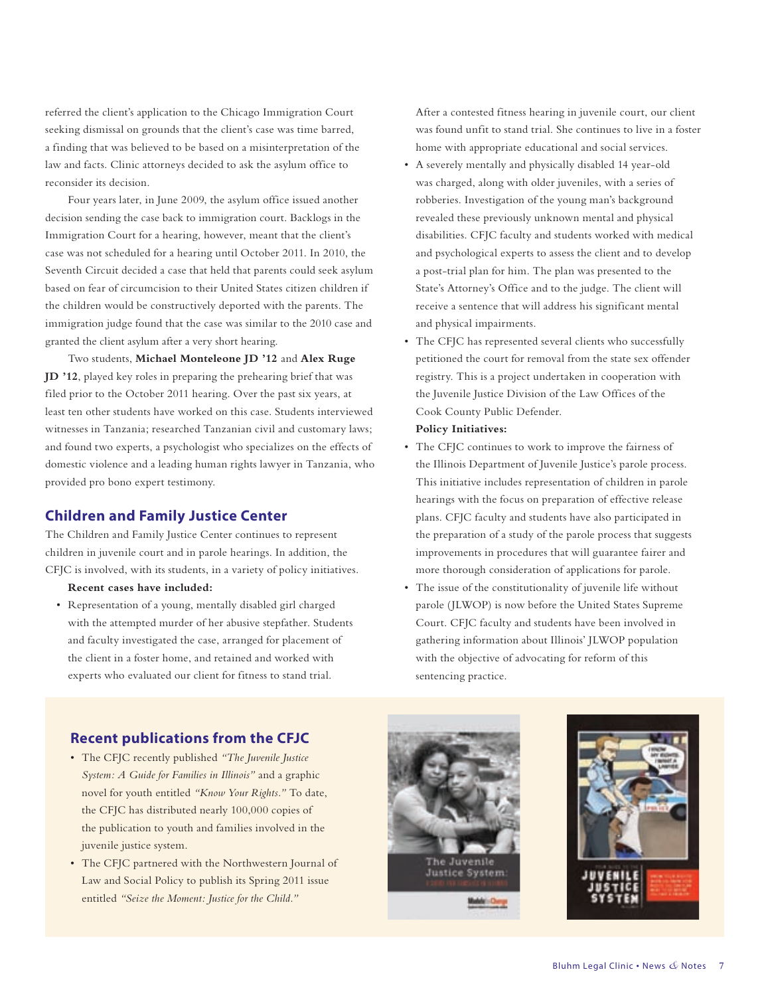referred the client's application to the Chicago Immigration Court seeking dismissal on grounds that the client's case was time barred, a finding that was believed to be based on a misinterpretation of the law and facts. Clinic attorneys decided to ask the asylum office to reconsider its decision.

Four years later, in June 2009, the asylum office issued another decision sending the case back to immigration court. Backlogs in the Immigration Court for a hearing, however, meant that the client's case was not scheduled for a hearing until October 2011. In 2010, the Seventh Circuit decided a case that held that parents could seek asylum based on fear of circumcision to their United States citizen children if the children would be constructively deported with the parents. The immigration judge found that the case was similar to the 2010 case and granted the client asylum after a very short hearing.

Two students, **Michael Monteleone JD '12** and **Alex Ruge JD '12**, played key roles in preparing the prehearing brief that was filed prior to the October 2011 hearing. Over the past six years, at least ten other students have worked on this case. Students interviewed witnesses in Tanzania; researched Tanzanian civil and customary laws; and found two experts, a psychologist who specializes on the effects of domestic violence and a leading human rights lawyer in Tanzania, who provided pro bono expert testimony.

#### **Children and Family Justice Center**

The Children and Family Justice Center continues to represent children in juvenile court and in parole hearings. In addition, the CFJC is involved, with its students, in a variety of policy initiatives.

#### **Recent cases have included:**

• Representation of a young, mentally disabled girl charged with the attempted murder of her abusive stepfather. Students and faculty investigated the case, arranged for placement of the client in a foster home, and retained and worked with experts who evaluated our client for fitness to stand trial.

After a contested fitness hearing in juvenile court, our client was found unfit to stand trial. She continues to live in a foster home with appropriate educational and social services.

- A severely mentally and physically disabled 14 year-old was charged, along with older juveniles, with a series of robberies. Investigation of the young man's background revealed these previously unknown mental and physical disabilities. CFJC faculty and students worked with medical and psychological experts to assess the client and to develop a post-trial plan for him. The plan was presented to the State's Attorney's Office and to the judge. The client will receive a sentence that will address his significant mental and physical impairments.
- The CFJC has represented several clients who successfully petitioned the court for removal from the state sex offender registry. This is a project undertaken in cooperation with the Juvenile Justice Division of the Law Offices of the Cook County Public Defender.

#### **Policy Initiatives:**

- The CFJC continues to work to improve the fairness of the Illinois Department of Juvenile Justice's parole process. This initiative includes representation of children in parole hearings with the focus on preparation of effective release plans. CFJC faculty and students have also participated in the preparation of a study of the parole process that suggests improvements in procedures that will guarantee fairer and more thorough consideration of applications for parole.
- The issue of the constitutionality of juvenile life without parole (JLWOP) is now before the United States Supreme Court. CFJC faculty and students have been involved in gathering information about Illinois' JLWOP population with the objective of advocating for reform of this sentencing practice.

#### **Recent publications from the CFJC**

- The CFJC recently published *"The Juvenile Justice System: A Guide for Families in Illinois"* and a graphic novel for youth entitled *"Know Your Rights."* To date, the CFJC has distributed nearly 100,000 copies of the publication to youth and families involved in the juvenile justice system.
- The CFJC partnered with the Northwestern Journal of Law and Social Policy to publish its Spring 2011 issue entitled *"Seize the Moment: Justice for the Child."*



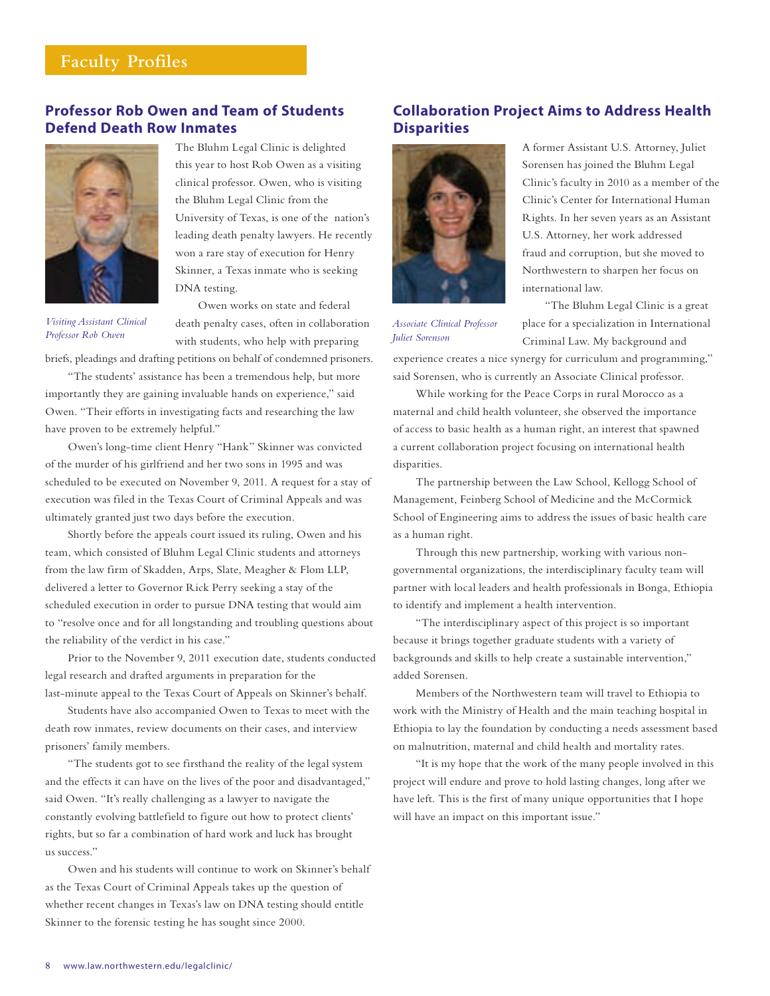#### **Faculty Profiles**

#### **Professor Rob Owen and Team of Students Defend Death Row Inmates**



*Visiting Assistant Clinical Professor Rob Owen*

The Bluhm Legal Clinic is delighted this year to host Rob Owen as a visiting clinical professor. Owen, who is visiting the Bluhm Legal Clinic from the University of Texas, is one of the nation's leading death penalty lawyers. He recently won a rare stay of execution for Henry Skinner, a Texas inmate who is seeking DNA testing.

Owen works on state and federal death penalty cases, often in collaboration with students, who help with preparing

briefs, pleadings and drafting petitions on behalf of condemned prisoners.

"The students' assistance has been a tremendous help, but more importantly they are gaining invaluable hands on experience," said Owen. "Their efforts in investigating facts and researching the law have proven to be extremely helpful."

Owen's long-time client Henry "Hank" Skinner was convicted of the murder of his girlfriend and her two sons in 1995 and was scheduled to be executed on November 9, 2011. A request for a stay of execution was filed in the Texas Court of Criminal Appeals and was ultimately granted just two days before the execution.

Shortly before the appeals court issued its ruling, Owen and his team, which consisted of Bluhm Legal Clinic students and attorneys from the law firm of Skadden, Arps, Slate, Meagher & Flom LLP, delivered a letter to Governor Rick Perry seeking a stay of the scheduled execution in order to pursue DNA testing that would aim to "resolve once and for all longstanding and troubling questions about the reliability of the verdict in his case."

Prior to the November 9, 2011 execution date, students conducted legal research and drafted arguments in preparation for the last-minute appeal to the Texas Court of Appeals on Skinner's behalf.

Students have also accompanied Owen to Texas to meet with the death row inmates, review documents on their cases, and interview prisoners' family members.

"The students got to see firsthand the reality of the legal system and the effects it can have on the lives of the poor and disadvantaged," said Owen. "It's really challenging as a lawyer to navigate the constantly evolving battlefield to figure out how to protect clients' rights, but so far a combination of hard work and luck has brought us success."

Owen and his students will continue to work on Skinner's behalf as the Texas Court of Criminal Appeals takes up the question of whether recent changes in Texas's law on DNA testing should entitle Skinner to the forensic testing he has sought since 2000.

#### **Collaboration Project Aims to Address Health Disparities**



A former Assistant U.S. Attorney, Juliet Sorensen has joined the Bluhm Legal Clinic's faculty in 2010 as a member of the Clinic's Center for International Human Rights. In her seven years as an Assistant U.S. Attorney, her work addressed fraud and corruption, but she moved to Northwestern to sharpen her focus on international law.

*Associate Clinical Professor Juliet Sorenson*

"The Bluhm Legal Clinic is a great place for a specialization in International Criminal Law. My background and

experience creates a nice synergy for curriculum and programming," said Sorensen, who is currently an Associate Clinical professor.

While working for the Peace Corps in rural Morocco as a maternal and child health volunteer, she observed the importance of access to basic health as a human right, an interest that spawned a current collaboration project focusing on international health disparities.

The partnership between the Law School, Kellogg School of Management, Feinberg School of Medicine and the McCormick School of Engineering aims to address the issues of basic health care as a human right.

Through this new partnership, working with various nongovernmental organizations, the interdisciplinary faculty team will partner with local leaders and health professionals in Bonga, Ethiopia to identify and implement a health intervention.

"The interdisciplinary aspect of this project is so important because it brings together graduate students with a variety of backgrounds and skills to help create a sustainable intervention," added Sorensen.

Members of the Northwestern team will travel to Ethiopia to work with the Ministry of Health and the main teaching hospital in Ethiopia to lay the foundation by conducting a needs assessment based on malnutrition, maternal and child health and mortality rates.

"It is my hope that the work of the many people involved in this project will endure and prove to hold lasting changes, long after we have left. This is the first of many unique opportunities that I hope will have an impact on this important issue."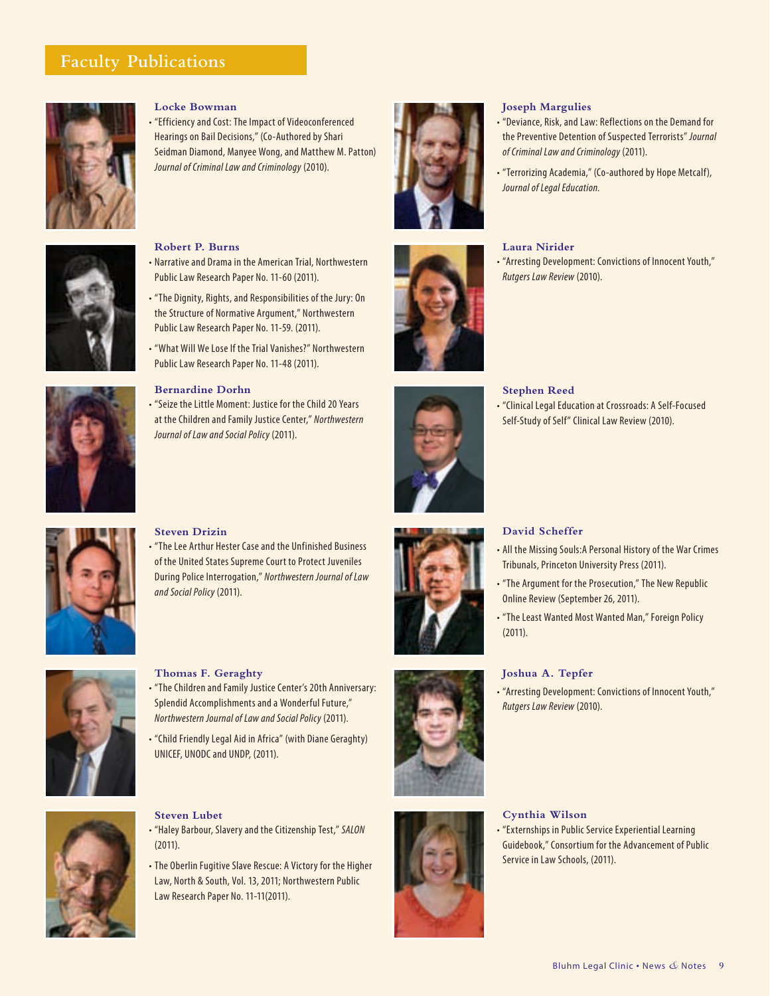#### **Faculty Publications**



#### **Locke Bowman**

• "Efficiency and Cost: The Impact of Videoconferenced Hearings on Bail Decisions," (Co-Authored by Shari Seidman Diamond, Manyee Wong, and Matthew M. Patton) *Journal of Criminal Law and Criminology* (2010).



#### **Robert P. Burns**

- Narrative and Drama in the American Trial, Northwestern Public Law Research Paper No. 11-60 (2011).
- "The Dignity, Rights, and Responsibilities of the Jury: On the Structure of Normative Argument," Northwestern Public Law Research Paper No. 11-59. (2011).
- "What Will We Lose If the Trial Vanishes?" Northwestern Public Law Research Paper No. 11-48 (2011).

#### **Bernardine Dorhn**

• "Seize the Little Moment: Justice for the Child 20 Years at the Children and Family Justice Center," *Northwestern Journal of Law and Social Policy* (2011).





#### **Joseph Margulies**

- "Deviance, Risk, and Law: Reflections on the Demand for the Preventive Detention of Suspected Terrorists" *Journal of Criminal Law and Criminology* (2011).
- "Terrorizing Academia," (Co-authored by Hope Metcalf), *Journal of Legal Education.*

#### **Laura Nirider**

• "Arresting Development: Convictions of Innocent Youth," *Rutgers Law Review* (2010).

#### **Stephen Reed**

• "Clinical Legal Education at Crossroads: A Self-Focused Self-Study of Self" Clinical Law Review (2010).

#### **Steven Drizin**

• "The Lee Arthur Hester Case and the Unfinished Business of the United States Supreme Court to Protect Juveniles During Police Interrogation," *Northwestern Journal of Law and Social Policy* (2011).



#### **Thomas F. Geraghty**

- "The Children and Family Justice Center's 20th Anniversary: Splendid Accomplishments and a Wonderful Future," *Northwestern Journal of Law and Social Policy* (2011).
- "Child Friendly Legal Aid in Africa" (with Diane Geraghty) UNICEF, UNODC and UNDP, (2011).



## **Steven Lubet**

- "Haley Barbour, Slavery and the Citizenship Test," *SALON* (2011).
- The Oberlin Fugitive Slave Rescue: A Victory for the Higher Law, North & South, Vol. 13, 2011; Northwestern Public Law Research Paper No. 11-11(2011).



#### **David Scheffer**

- All the Missing Souls:A Personal History of the War Crimes Tribunals, Princeton University Press (2011).
- "The Argument for the Prosecution," The New Republic Online Review (September 26, 2011).
- "The Least Wanted Most Wanted Man," Foreign Policy (2011).

#### **Joshua A. Tepfer**

• "Arresting Development: Convictions of Innocent Youth," *Rutgers Law Review* (2010).



Guidebook," Consortium for the Advancement of Public Service in Law Schools, (2011).



#### Bluhm Legal Clinic • News *&* Notes **9**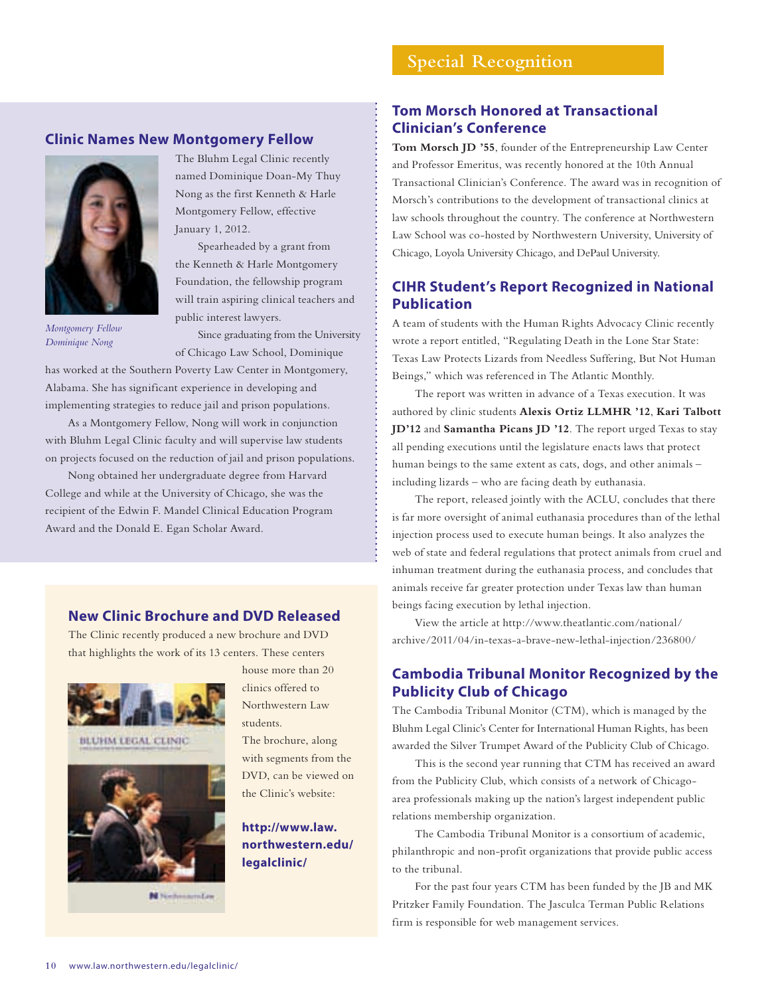#### **Clinic Names New Montgomery Fellow**



*Montgomery Fellow Dominique Nong*

The Bluhm Legal Clinic recently named Dominique Doan-My Thuy Nong as the first Kenneth & Harle Montgomery Fellow, effective January 1, 2012.

Spearheaded by a grant from the Kenneth & Harle Montgomery Foundation, the fellowship program will train aspiring clinical teachers and public interest lawyers.

Since graduating from the University of Chicago Law School, Dominique

has worked at the Southern Poverty Law Center in Montgomery, Alabama. She has significant experience in developing and implementing strategies to reduce jail and prison populations.

As a Montgomery Fellow, Nong will work in conjunction with Bluhm Legal Clinic faculty and will supervise law students on projects focused on the reduction of jail and prison populations.

Nong obtained her undergraduate degree from Harvard College and while at the University of Chicago, she was the recipient of the Edwin F. Mandel Clinical Education Program Award and the Donald E. Egan Scholar Award.

#### **New Clinic Brochure and DVD Released**

The Clinic recently produced a new brochure and DVD that highlights the work of its 13 centers. These centers



BLUHM LEGAL CLINIC



N NationalityLin

house more than 20 clinics offered to Northwestern Law students.

The brochure, along with segments from the DVD, can be viewed on the Clinic's website:

#### **http://www.law. northwestern.edu/ legalclinic/**

#### **Tom Morsch Honored at Transactional Clinician's Conference**

**Tom Morsch JD '55**, founder of the Entrepreneurship Law Center and Professor Emeritus, was recently honored at the 10th Annual Transactional Clinician's Conference. The award was in recognition of Morsch's contributions to the development of transactional clinics at law schools throughout the country. The conference at Northwestern Law School was co-hosted by Northwestern University, University of Chicago, Loyola University Chicago, and DePaul University.

#### **CIHR Student's Report Recognized in National Publication**

A team of students with the Human Rights Advocacy Clinic recently wrote a report entitled, "Regulating Death in the Lone Star State: Texas Law Protects Lizards from Needless Suffering, But Not Human Beings," which was referenced in The Atlantic Monthly.

The report was written in advance of a Texas execution. It was authored by clinic students **Alexis Ortiz LLMHR '12**, **Kari Talbott JD'12** and **Samantha Picans JD '12**. The report urged Texas to stay all pending executions until the legislature enacts laws that protect human beings to the same extent as cats, dogs, and other animals – including lizards – who are facing death by euthanasia.

The report, released jointly with the ACLU, concludes that there is far more oversight of animal euthanasia procedures than of the lethal injection process used to execute human beings. It also analyzes the web of state and federal regulations that protect animals from cruel and inhuman treatment during the euthanasia process, and concludes that animals receive far greater protection under Texas law than human beings facing execution by lethal injection.

View the article at http://www.theatlantic.com/national/ archive/2011/04/in-texas-a-brave-new-lethal-injection/236800/

#### **Cambodia Tribunal Monitor Recognized by the Publicity Club of Chicago**

The Cambodia Tribunal Monitor (CTM), which is managed by the Bluhm Legal Clinic's Center for International Human Rights, has been awarded the Silver Trumpet Award of the Publicity Club of Chicago.

This is the second year running that CTM has received an award from the Publicity Club, which consists of a network of Chicagoarea professionals making up the nation's largest independent public relations membership organization.

The Cambodia Tribunal Monitor is a consortium of academic, philanthropic and non-profit organizations that provide public access to the tribunal.

For the past four years CTM has been funded by the JB and MK Pritzker Family Foundation. The Jasculca Terman Public Relations firm is responsible for web management services.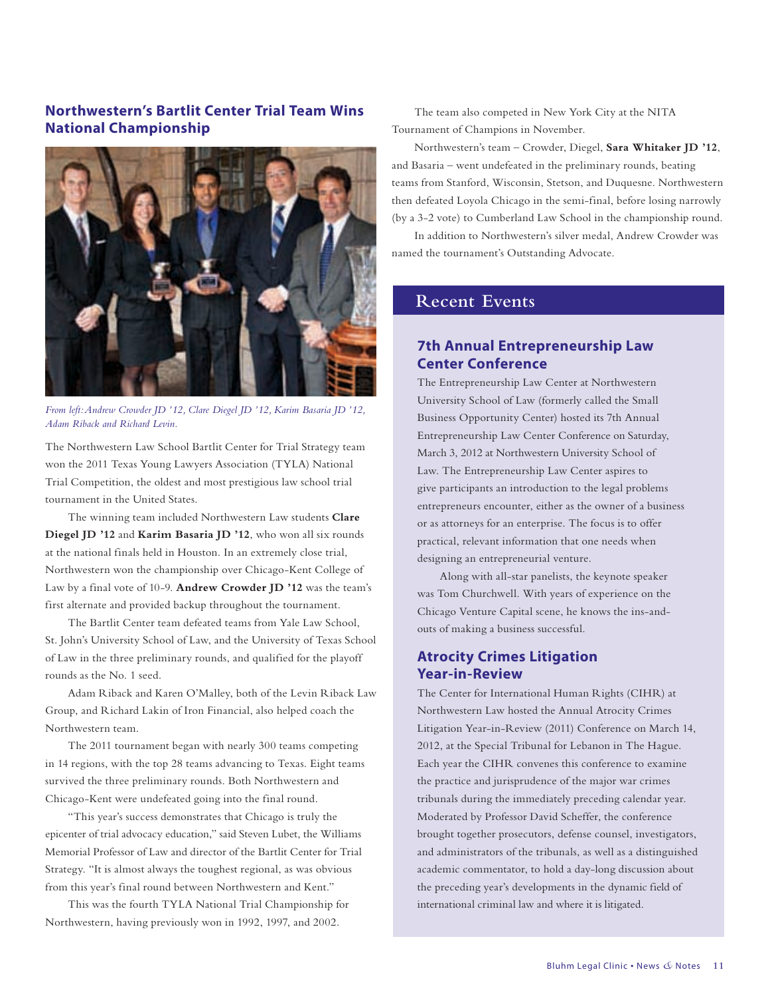#### **Northwestern's Bartlit Center Trial Team Wins National Championship**



*From left: Andrew Crowder JD '12, Clare Diegel JD '12, Karim Basaria JD '12, Adam Riback and Richard Levin.*

The Northwestern Law School Bartlit Center for Trial Strategy team won the 2011 Texas Young Lawyers Association (TYLA) National Trial Competition, the oldest and most prestigious law school trial tournament in the United States.

The winning team included Northwestern Law students **Clare Diegel JD '12** and **Karim Basaria JD '12**, who won all six rounds at the national finals held in Houston. In an extremely close trial, Northwestern won the championship over Chicago-Kent College of Law by a final vote of 10-9. **Andrew Crowder JD '12** was the team's first alternate and provided backup throughout the tournament.

The Bartlit Center team defeated teams from Yale Law School, St. John's University School of Law, and the University of Texas School of Law in the three preliminary rounds, and qualified for the playoff rounds as the No. 1 seed.

Adam Riback and Karen O'Malley, both of the Levin Riback Law Group, and Richard Lakin of Iron Financial, also helped coach the Northwestern team.

The 2011 tournament began with nearly 300 teams competing in 14 regions, with the top 28 teams advancing to Texas. Eight teams survived the three preliminary rounds. Both Northwestern and Chicago-Kent were undefeated going into the final round.

"This year's success demonstrates that Chicago is truly the epicenter of trial advocacy education," said Steven Lubet, the Williams Memorial Professor of Law and director of the Bartlit Center for Trial Strategy. "It is almost always the toughest regional, as was obvious from this year's final round between Northwestern and Kent."

This was the fourth TYLA National Trial Championship for Northwestern, having previously won in 1992, 1997, and 2002.

The team also competed in New York City at the NITA Tournament of Champions in November.

Northwestern's team – Crowder, Diegel, **Sara Whitaker JD '12**, and Basaria – went undefeated in the preliminary rounds, beating teams from Stanford, Wisconsin, Stetson, and Duquesne. Northwestern then defeated Loyola Chicago in the semi-final, before losing narrowly (by a 3-2 vote) to Cumberland Law School in the championship round.

In addition to Northwestern's silver medal, Andrew Crowder was named the tournament's Outstanding Advocate.

#### **Recent Events**

#### **7th Annual Entrepreneurship Law Center Conference**

The Entrepreneurship Law Center at Northwestern University School of Law (formerly called the Small Business Opportunity Center) hosted its 7th Annual Entrepreneurship Law Center Conference on Saturday, March 3, 2012 at Northwestern University School of Law. The Entrepreneurship Law Center aspires to give participants an introduction to the legal problems entrepreneurs encounter, either as the owner of a business or as attorneys for an enterprise. The focus is to offer practical, relevant information that one needs when designing an entrepreneurial venture.

Along with all-star panelists, the keynote speaker was Tom Churchwell. With years of experience on the Chicago Venture Capital scene, he knows the ins-andouts of making a business successful.

#### **Atrocity Crimes Litigation Year-in-Review**

The Center for International Human Rights (CIHR) at Northwestern Law hosted the Annual Atrocity Crimes Litigation Year-in-Review (2011) Conference on March 14, 2012, at the Special Tribunal for Lebanon in The Hague. Each year the CIHR convenes this conference to examine the practice and jurisprudence of the major war crimes tribunals during the immediately preceding calendar year. Moderated by Professor David Scheffer, the conference brought together prosecutors, defense counsel, investigators, and administrators of the tribunals, as well as a distinguished academic commentator, to hold a day-long discussion about the preceding year's developments in the dynamic field of international criminal law and where it is litigated.